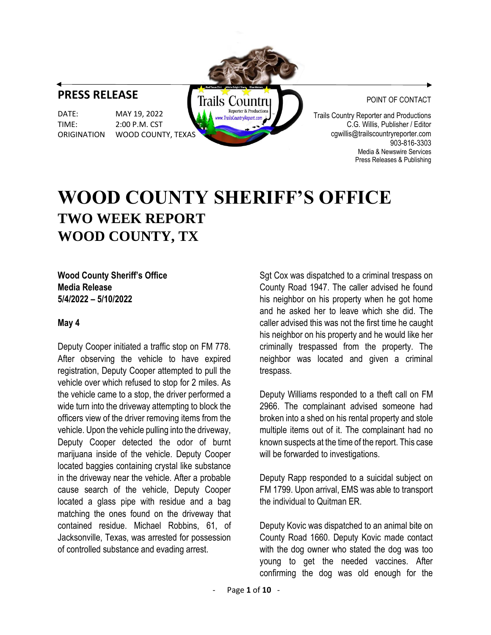# **PRESS RELEASE**

DATE: MAY 19, 2022 TIME: 2:00 P.M. CST ORIGINATION WOOD COUNTY, TEXAS



POINT OF CONTACT

Trails Country Reporter and Productions C.G. Willis, Publisher / Editor cgwillis@trailscountryreporter.com 903-816-3303 Media & Newswire Services Press Releases & Publishing

# **WOOD COUNTY SHERIFF'S OFFICE TWO WEEK REPORT WOOD COUNTY, TX**

**Wood County Sheriff's Office Media Release 5/4/2022 – 5/10/2022**

#### **May 4**

Deputy Cooper initiated a traffic stop on FM 778. After observing the vehicle to have expired registration, Deputy Cooper attempted to pull the vehicle over which refused to stop for 2 miles. As the vehicle came to a stop, the driver performed a wide turn into the driveway attempting to block the officers view of the driver removing items from the vehicle. Upon the vehicle pulling into the driveway, Deputy Cooper detected the odor of burnt marijuana inside of the vehicle. Deputy Cooper located baggies containing crystal like substance in the driveway near the vehicle. After a probable cause search of the vehicle, Deputy Cooper located a glass pipe with residue and a bag matching the ones found on the driveway that contained residue. Michael Robbins, 61, of Jacksonville, Texas, was arrested for possession of controlled substance and evading arrest.

Sgt Cox was dispatched to a criminal trespass on County Road 1947. The caller advised he found his neighbor on his property when he got home and he asked her to leave which she did. The caller advised this was not the first time he caught his neighbor on his property and he would like her criminally trespassed from the property. The neighbor was located and given a criminal trespass.

Deputy Williams responded to a theft call on FM 2966. The complainant advised someone had broken into a shed on his rental property and stole multiple items out of it. The complainant had no known suspects at the time of the report. This case will be forwarded to investigations.

Deputy Rapp responded to a suicidal subject on FM 1799. Upon arrival, EMS was able to transport the individual to Quitman ER.

Deputy Kovic was dispatched to an animal bite on County Road 1660. Deputy Kovic made contact with the dog owner who stated the dog was too young to get the needed vaccines. After confirming the dog was old enough for the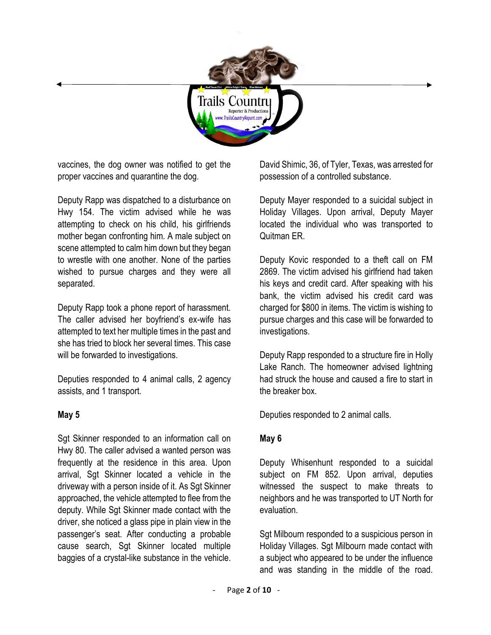

vaccines, the dog owner was notified to get the proper vaccines and quarantine the dog.

Deputy Rapp was dispatched to a disturbance on Hwy 154. The victim advised while he was attempting to check on his child, his girlfriends mother began confronting him. A male subject on scene attempted to calm him down but they began to wrestle with one another. None of the parties wished to pursue charges and they were all separated.

Deputy Rapp took a phone report of harassment. The caller advised her boyfriend's ex-wife has attempted to text her multiple times in the past and she has tried to block her several times. This case will be forwarded to investigations.

Deputies responded to 4 animal calls, 2 agency assists, and 1 transport.

#### **May 5**

Sgt Skinner responded to an information call on Hwy 80. The caller advised a wanted person was frequently at the residence in this area. Upon arrival, Sgt Skinner located a vehicle in the driveway with a person inside of it. As Sgt Skinner approached, the vehicle attempted to flee from the deputy. While Sgt Skinner made contact with the driver, she noticed a glass pipe in plain view in the passenger's seat. After conducting a probable cause search, Sgt Skinner located multiple baggies of a crystal-like substance in the vehicle.

David Shimic, 36, of Tyler, Texas, was arrested for possession of a controlled substance.

Deputy Mayer responded to a suicidal subject in Holiday Villages. Upon arrival, Deputy Mayer located the individual who was transported to Quitman ER.

Deputy Kovic responded to a theft call on FM 2869. The victim advised his girlfriend had taken his keys and credit card. After speaking with his bank, the victim advised his credit card was charged for \$800 in items. The victim is wishing to pursue charges and this case will be forwarded to investigations.

Deputy Rapp responded to a structure fire in Holly Lake Ranch. The homeowner advised lightning had struck the house and caused a fire to start in the breaker box.

Deputies responded to 2 animal calls.

# **May 6**

Deputy Whisenhunt responded to a suicidal subject on FM 852. Upon arrival, deputies witnessed the suspect to make threats to neighbors and he was transported to UT North for evaluation.

Sgt Milbourn responded to a suspicious person in Holiday Villages. Sgt Milbourn made contact with a subject who appeared to be under the influence and was standing in the middle of the road.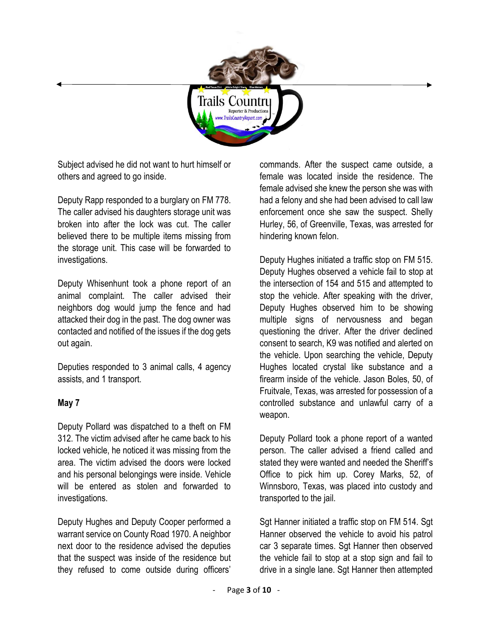

Subject advised he did not want to hurt himself or others and agreed to go inside.

Deputy Rapp responded to a burglary on FM 778. The caller advised his daughters storage unit was broken into after the lock was cut. The caller believed there to be multiple items missing from the storage unit. This case will be forwarded to investigations.

Deputy Whisenhunt took a phone report of an animal complaint. The caller advised their neighbors dog would jump the fence and had attacked their dog in the past. The dog owner was contacted and notified of the issues if the dog gets out again.

Deputies responded to 3 animal calls, 4 agency assists, and 1 transport.

#### **May 7**

Deputy Pollard was dispatched to a theft on FM 312. The victim advised after he came back to his locked vehicle, he noticed it was missing from the area. The victim advised the doors were locked and his personal belongings were inside. Vehicle will be entered as stolen and forwarded to investigations.

Deputy Hughes and Deputy Cooper performed a warrant service on County Road 1970. A neighbor next door to the residence advised the deputies that the suspect was inside of the residence but they refused to come outside during officers'

commands. After the suspect came outside, a female was located inside the residence. The female advised she knew the person she was with had a felony and she had been advised to call law enforcement once she saw the suspect. Shelly Hurley, 56, of Greenville, Texas, was arrested for hindering known felon.

Deputy Hughes initiated a traffic stop on FM 515. Deputy Hughes observed a vehicle fail to stop at the intersection of 154 and 515 and attempted to stop the vehicle. After speaking with the driver, Deputy Hughes observed him to be showing multiple signs of nervousness and began questioning the driver. After the driver declined consent to search, K9 was notified and alerted on the vehicle. Upon searching the vehicle, Deputy Hughes located crystal like substance and a firearm inside of the vehicle. Jason Boles, 50, of Fruitvale, Texas, was arrested for possession of a controlled substance and unlawful carry of a weapon.

Deputy Pollard took a phone report of a wanted person. The caller advised a friend called and stated they were wanted and needed the Sheriff's Office to pick him up. Corey Marks, 52, of Winnsboro, Texas, was placed into custody and transported to the jail.

Sgt Hanner initiated a traffic stop on FM 514. Sgt Hanner observed the vehicle to avoid his patrol car 3 separate times. Sgt Hanner then observed the vehicle fail to stop at a stop sign and fail to drive in a single lane. Sgt Hanner then attempted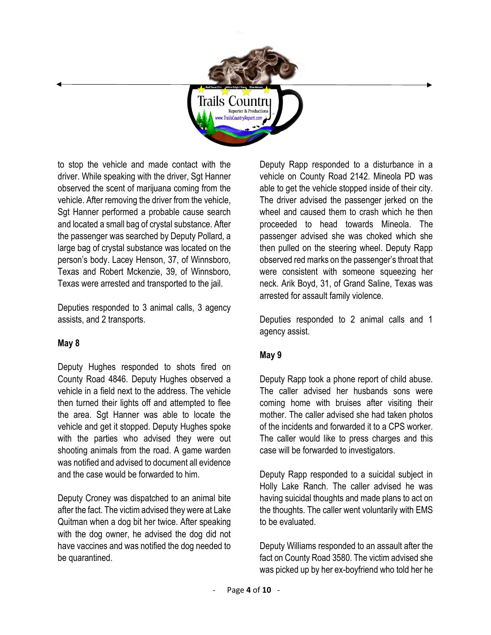

to stop the vehicle and made contact with the driver. While speaking with the driver, Sgt Hanner observed the scent of marijuana coming from the vehicle. After removing the driver from the vehicle, Sgt Hanner performed a probable cause search and located a small bag of crystal substance. After the passenger was searched by Deputy Pollard, a large bag of crystal substance was located on the person's body. Lacey Henson, 37, of Winnsboro, Texas and Robert Mckenzie, 39, of Winnsboro, Texas were arrested and transported to the jail.

Deputies responded to 3 animal calls, 3 agency assists, and 2 transports.

# **May 8**

Deputy Hughes responded to shots fired on County Road 4846. Deputy Hughes observed a vehicle in a field next to the address. The vehicle then turned their lights off and attempted to flee the area. Sgt Hanner was able to locate the vehicle and get it stopped. Deputy Hughes spoke with the parties who advised they were out shooting animals from the road. A game warden was notified and advised to document all evidence and the case would be forwarded to him.

Deputy Croney was dispatched to an animal bite after the fact. The victim advised they were at Lake Quitman when a dog bit her twice. After speaking with the dog owner, he advised the dog did not have vaccines and was notified the dog needed to be quarantined.

Deputy Rapp responded to a disturbance in a vehicle on County Road 2142. Mineola PD was able to get the vehicle stopped inside of their city. The driver advised the passenger jerked on the wheel and caused them to crash which he then proceeded to head towards Mineola. The passenger advised she was choked which she then pulled on the steering wheel. Deputy Rapp observed red marks on the passenger's throat that were consistent with someone squeezing her neck. Arik Boyd, 31, of Grand Saline, Texas was arrested for assault family violence.

Deputies responded to 2 animal calls and 1 agency assist.

# **May 9**

Deputy Rapp took a phone report of child abuse. The caller advised her husbands sons were coming home with bruises after visiting their mother. The caller advised she had taken photos of the incidents and forwarded it to a CPS worker. The caller would like to press charges and this case will be forwarded to investigators.

Deputy Rapp responded to a suicidal subject in Holly Lake Ranch. The caller advised he was having suicidal thoughts and made plans to act on the thoughts. The caller went voluntarily with EMS to be evaluated.

Deputy Williams responded to an assault after the fact on County Road 3580. The victim advised she was picked up by her ex-boyfriend who told her he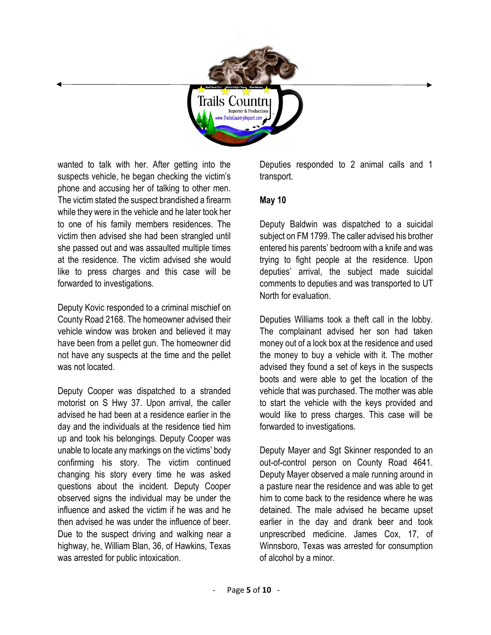

wanted to talk with her. After getting into the suspects vehicle, he began checking the victim's phone and accusing her of talking to other men. The victim stated the suspect brandished a firearm while they were in the vehicle and he later took her to one of his family members residences. The victim then advised she had been strangled until she passed out and was assaulted multiple times at the residence. The victim advised she would like to press charges and this case will be forwarded to investigations.

Deputy Kovic responded to a criminal mischief on County Road 2168. The homeowner advised their vehicle window was broken and believed it may have been from a pellet gun. The homeowner did not have any suspects at the time and the pellet was not located.

Deputy Cooper was dispatched to a stranded motorist on S Hwy 37. Upon arrival, the caller advised he had been at a residence earlier in the day and the individuals at the residence tied him up and took his belongings. Deputy Cooper was unable to locate any markings on the victims' body confirming his story. The victim continued changing his story every time he was asked questions about the incident. Deputy Cooper observed signs the individual may be under the influence and asked the victim if he was and he then advised he was under the influence of beer. Due to the suspect driving and walking near a highway, he, William Blan, 36, of Hawkins, Texas was arrested for public intoxication.

Deputies responded to 2 animal calls and 1 transport.

#### **May 10**

Deputy Baldwin was dispatched to a suicidal subject on FM 1799. The caller advised his brother entered his parents' bedroom with a knife and was trying to fight people at the residence. Upon deputies' arrival, the subject made suicidal comments to deputies and was transported to UT North for evaluation.

Deputies Williams took a theft call in the lobby. The complainant advised her son had taken money out of a lock box at the residence and used the money to buy a vehicle with it. The mother advised they found a set of keys in the suspects boots and were able to get the location of the vehicle that was purchased. The mother was able to start the vehicle with the keys provided and would like to press charges. This case will be forwarded to investigations.

Deputy Mayer and Sgt Skinner responded to an out-of-control person on County Road 4641. Deputy Mayer observed a male running around in a pasture near the residence and was able to get him to come back to the residence where he was detained. The male advised he became upset earlier in the day and drank beer and took unprescribed medicine. James Cox, 17, of Winnsboro, Texas was arrested for consumption of alcohol by a minor.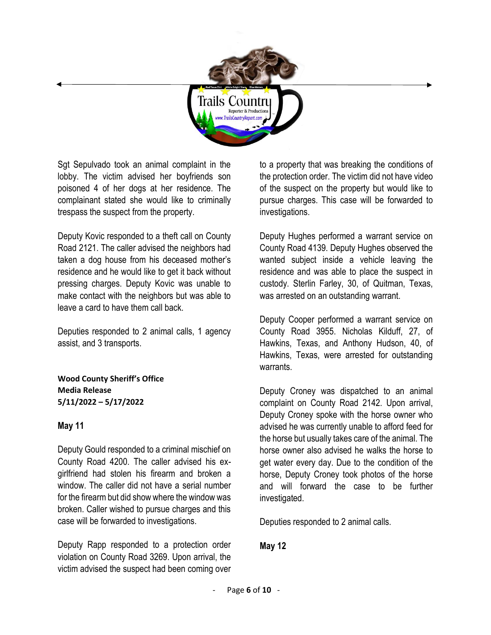

Sgt Sepulvado took an animal complaint in the lobby. The victim advised her boyfriends son poisoned 4 of her dogs at her residence. The complainant stated she would like to criminally trespass the suspect from the property.

Deputy Kovic responded to a theft call on County Road 2121. The caller advised the neighbors had taken a dog house from his deceased mother's residence and he would like to get it back without pressing charges. Deputy Kovic was unable to make contact with the neighbors but was able to leave a card to have them call back.

Deputies responded to 2 animal calls, 1 agency assist, and 3 transports.

**Wood County Sheriff's Office Media Release 5/11/2022 – 5/17/2022**

#### **May 11**

Deputy Gould responded to a criminal mischief on County Road 4200. The caller advised his exgirlfriend had stolen his firearm and broken a window. The caller did not have a serial number for the firearm but did show where the window was broken. Caller wished to pursue charges and this case will be forwarded to investigations.

Deputy Rapp responded to a protection order violation on County Road 3269. Upon arrival, the victim advised the suspect had been coming over to a property that was breaking the conditions of the protection order. The victim did not have video of the suspect on the property but would like to pursue charges. This case will be forwarded to investigations.

Deputy Hughes performed a warrant service on County Road 4139. Deputy Hughes observed the wanted subject inside a vehicle leaving the residence and was able to place the suspect in custody. Sterlin Farley, 30, of Quitman, Texas, was arrested on an outstanding warrant.

Deputy Cooper performed a warrant service on County Road 3955. Nicholas Kilduff, 27, of Hawkins, Texas, and Anthony Hudson, 40, of Hawkins, Texas, were arrested for outstanding warrants.

Deputy Croney was dispatched to an animal complaint on County Road 2142. Upon arrival, Deputy Croney spoke with the horse owner who advised he was currently unable to afford feed for the horse but usually takes care of the animal. The horse owner also advised he walks the horse to get water every day. Due to the condition of the horse, Deputy Croney took photos of the horse and will forward the case to be further investigated.

Deputies responded to 2 animal calls.

**May 12**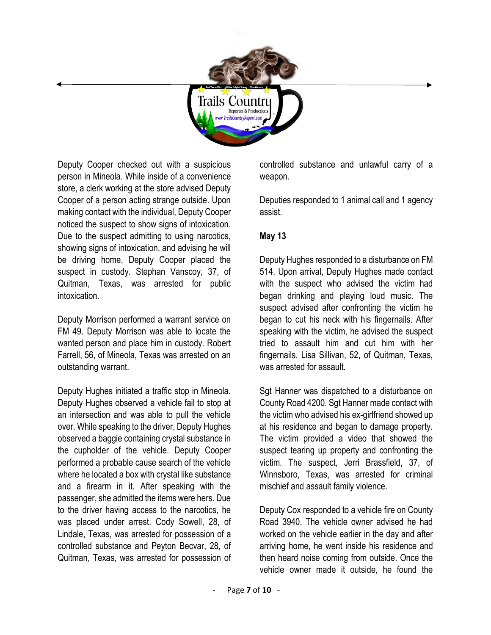

Deputy Cooper checked out with a suspicious person in Mineola. While inside of a convenience store, a clerk working at the store advised Deputy Cooper of a person acting strange outside. Upon making contact with the individual, Deputy Cooper noticed the suspect to show signs of intoxication. Due to the suspect admitting to using narcotics, showing signs of intoxication, and advising he will be driving home, Deputy Cooper placed the suspect in custody. Stephan Vanscoy, 37, of Quitman, Texas, was arrested for public intoxication.

Deputy Morrison performed a warrant service on FM 49. Deputy Morrison was able to locate the wanted person and place him in custody. Robert Farrell, 56, of Mineola, Texas was arrested on an outstanding warrant.

Deputy Hughes initiated a traffic stop in Mineola. Deputy Hughes observed a vehicle fail to stop at an intersection and was able to pull the vehicle over. While speaking to the driver, Deputy Hughes observed a baggie containing crystal substance in the cupholder of the vehicle. Deputy Cooper performed a probable cause search of the vehicle where he located a box with crystal like substance and a firearm in it. After speaking with the passenger, she admitted the items were hers. Due to the driver having access to the narcotics, he was placed under arrest. Cody Sowell, 28, of Lindale, Texas, was arrested for possession of a controlled substance and Peyton Becvar, 28, of Quitman, Texas, was arrested for possession of

controlled substance and unlawful carry of a weapon.

Deputies responded to 1 animal call and 1 agency assist.

# **May 13**

Deputy Hughes responded to a disturbance on FM 514. Upon arrival, Deputy Hughes made contact with the suspect who advised the victim had began drinking and playing loud music. The suspect advised after confronting the victim he began to cut his neck with his fingernails. After speaking with the victim, he advised the suspect tried to assault him and cut him with her fingernails. Lisa Sillivan, 52, of Quitman, Texas, was arrested for assault.

Sgt Hanner was dispatched to a disturbance on County Road 4200. Sgt Hanner made contact with the victim who advised his ex-girlfriend showed up at his residence and began to damage property. The victim provided a video that showed the suspect tearing up property and confronting the victim. The suspect, Jerri Brassfield, 37, of Winnsboro, Texas, was arrested for criminal mischief and assault family violence.

Deputy Cox responded to a vehicle fire on County Road 3940. The vehicle owner advised he had worked on the vehicle earlier in the day and after arriving home, he went inside his residence and then heard noise coming from outside. Once the vehicle owner made it outside, he found the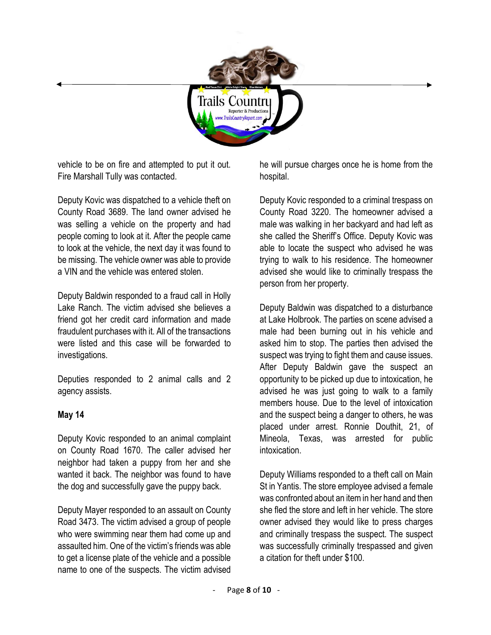

vehicle to be on fire and attempted to put it out. Fire Marshall Tully was contacted.

Deputy Kovic was dispatched to a vehicle theft on County Road 3689. The land owner advised he was selling a vehicle on the property and had people coming to look at it. After the people came to look at the vehicle, the next day it was found to be missing. The vehicle owner was able to provide a VIN and the vehicle was entered stolen.

Deputy Baldwin responded to a fraud call in Holly Lake Ranch. The victim advised she believes a friend got her credit card information and made fraudulent purchases with it. All of the transactions were listed and this case will be forwarded to investigations.

Deputies responded to 2 animal calls and 2 agency assists.

#### **May 14**

Deputy Kovic responded to an animal complaint on County Road 1670. The caller advised her neighbor had taken a puppy from her and she wanted it back. The neighbor was found to have the dog and successfully gave the puppy back.

Deputy Mayer responded to an assault on County Road 3473. The victim advised a group of people who were swimming near them had come up and assaulted him. One of the victim's friends was able to get a license plate of the vehicle and a possible name to one of the suspects. The victim advised

he will pursue charges once he is home from the hospital.

Deputy Kovic responded to a criminal trespass on County Road 3220. The homeowner advised a male was walking in her backyard and had left as she called the Sheriff's Office. Deputy Kovic was able to locate the suspect who advised he was trying to walk to his residence. The homeowner advised she would like to criminally trespass the person from her property.

Deputy Baldwin was dispatched to a disturbance at Lake Holbrook. The parties on scene advised a male had been burning out in his vehicle and asked him to stop. The parties then advised the suspect was trying to fight them and cause issues. After Deputy Baldwin gave the suspect an opportunity to be picked up due to intoxication, he advised he was just going to walk to a family members house. Due to the level of intoxication and the suspect being a danger to others, he was placed under arrest. Ronnie Douthit, 21, of Mineola, Texas, was arrested for public intoxication.

Deputy Williams responded to a theft call on Main St in Yantis. The store employee advised a female was confronted about an item in her hand and then she fled the store and left in her vehicle. The store owner advised they would like to press charges and criminally trespass the suspect. The suspect was successfully criminally trespassed and given a citation for theft under \$100.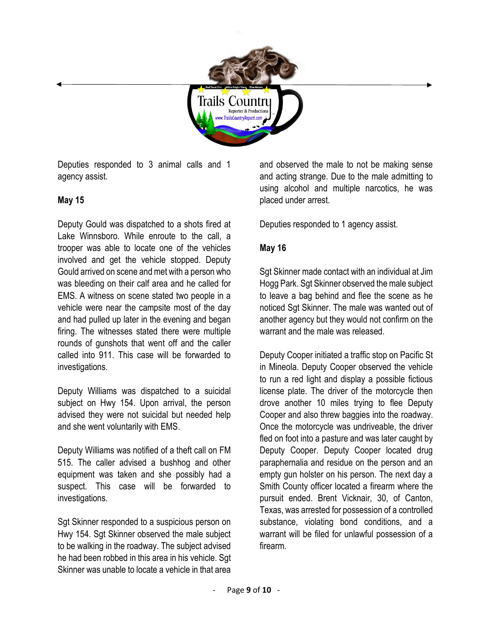

Deputies responded to 3 animal calls and 1 agency assist.

# **May 15**

Deputy Gould was dispatched to a shots fired at Lake Winnsboro. While enroute to the call, a trooper was able to locate one of the vehicles involved and get the vehicle stopped. Deputy Gould arrived on scene and met with a person who was bleeding on their calf area and he called for EMS. A witness on scene stated two people in a vehicle were near the campsite most of the day and had pulled up later in the evening and began firing. The witnesses stated there were multiple rounds of gunshots that went off and the caller called into 911. This case will be forwarded to investigations.

Deputy Williams was dispatched to a suicidal subject on Hwy 154. Upon arrival, the person advised they were not suicidal but needed help and she went voluntarily with EMS.

Deputy Williams was notified of a theft call on FM 515. The caller advised a bushhog and other equipment was taken and she possibly had a suspect. This case will be forwarded to investigations.

Sgt Skinner responded to a suspicious person on Hwy 154. Sgt Skinner observed the male subject to be walking in the roadway. The subject advised he had been robbed in this area in his vehicle. Sgt Skinner was unable to locate a vehicle in that area

and observed the male to not be making sense and acting strange. Due to the male admitting to using alcohol and multiple narcotics, he was placed under arrest.

Deputies responded to 1 agency assist.

# **May 16**

Sgt Skinner made contact with an individual at Jim Hogg Park. Sgt Skinner observed the male subject to leave a bag behind and flee the scene as he noticed Sgt Skinner. The male was wanted out of another agency but they would not confirm on the warrant and the male was released.

Deputy Cooper initiated a traffic stop on Pacific St in Mineola. Deputy Cooper observed the vehicle to run a red light and display a possible fictious license plate. The driver of the motorcycle then drove another 10 miles trying to flee Deputy Cooper and also threw baggies into the roadway. Once the motorcycle was undriveable, the driver fled on foot into a pasture and was later caught by Deputy Cooper. Deputy Cooper located drug paraphernalia and residue on the person and an empty gun holster on his person. The next day a Smith County officer located a firearm where the pursuit ended. Brent Vicknair, 30, of Canton, Texas, was arrested for possession of a controlled substance, violating bond conditions, and a warrant will be filed for unlawful possession of a firearm.